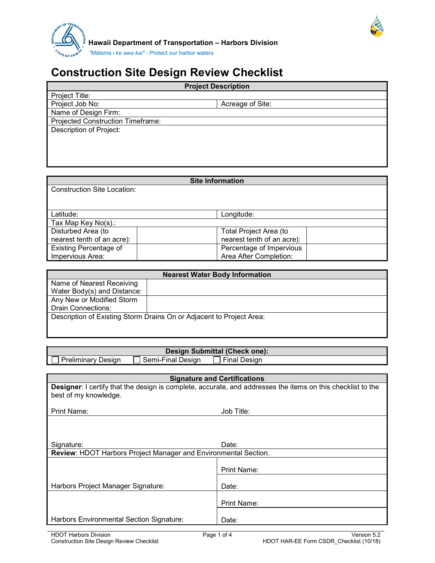

 **Hawaii Department of Transportation – Harbors Division** *"Mālama i ke awa kai"* - Protect our harbor waters

## **Construction Site Design Review Checklist**

| <b>Project Description</b>        |                  |  |
|-----------------------------------|------------------|--|
| Project Title:                    |                  |  |
| Project Job No:                   | Acreage of Site: |  |
| Name of Design Firm:              |                  |  |
| Projected Construction Timeframe: |                  |  |
| Description of Project:           |                  |  |
|                                   |                  |  |
|                                   |                  |  |
|                                   |                  |  |
|                                   |                  |  |

| <b>Site Information</b>            |                            |  |  |  |
|------------------------------------|----------------------------|--|--|--|
| <b>Construction Site Location:</b> |                            |  |  |  |
|                                    |                            |  |  |  |
|                                    |                            |  |  |  |
| Latitude:                          | Longitude:                 |  |  |  |
| Tax Map Key No(s).:                |                            |  |  |  |
| Disturbed Area (to                 | Total Project Area (to     |  |  |  |
| nearest tenth of an acre):         | nearest tenth of an acre): |  |  |  |
| <b>Existing Percentage of</b>      | Percentage of Impervious   |  |  |  |
| Impervious Area:                   | Area After Completion:     |  |  |  |

| <b>Nearest Water Body Information</b> |                                                                      |  |  |  |
|---------------------------------------|----------------------------------------------------------------------|--|--|--|
| Name of Nearest Receiving             |                                                                      |  |  |  |
| Water Body(s) and Distance:           |                                                                      |  |  |  |
| Any New or Modified Storm             |                                                                      |  |  |  |
| <b>Drain Connections:</b>             |                                                                      |  |  |  |
|                                       | Description of Existing Storm Drains On or Adjacent to Project Area: |  |  |  |
|                                       |                                                                      |  |  |  |

## **Design Submittal (Check one):**<br>Final Design **Design**

 $\Box$  Preliminary Design  $\Box$  Semi-Final Design

**Signature and Certifications Designer**: I certify that the design is complete, accurate, and addresses the items on this checklist to the best of my knowledge.

Print Name: Job Title:

| Signature:                                                      | Date:       |
|-----------------------------------------------------------------|-------------|
| Review: HDOT Harbors Project Manager and Environmental Section. |             |
|                                                                 |             |
|                                                                 | Print Name: |
| Harbors Project Manager Signature:                              | Date:       |
|                                                                 | Print Name: |
| Harbors Environmental Section Signature:                        | Date:       |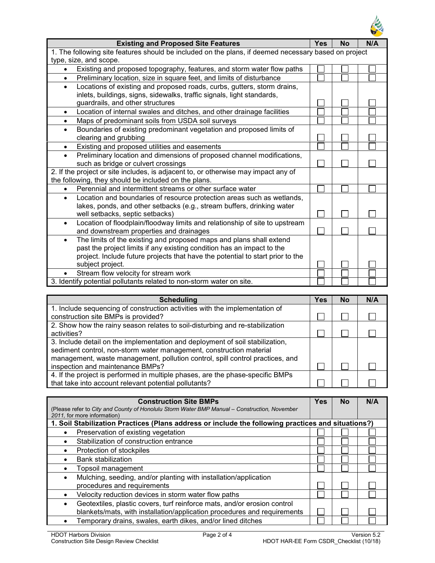

| <b>Existing and Proposed Site Features</b>                                                           | <b>Yes</b> | <b>No</b> | N/A |  |
|------------------------------------------------------------------------------------------------------|------------|-----------|-----|--|
| 1. The following site features should be included on the plans, if deemed necessary based on project |            |           |     |  |
| type, size, and scope.                                                                               |            |           |     |  |
| Existing and proposed topography, features, and storm water flow paths                               |            |           |     |  |
| Preliminary location, size in square feet, and limits of disturbance<br>$\bullet$                    |            |           |     |  |
| Locations of existing and proposed roads, curbs, gutters, storm drains,                              |            |           |     |  |
| inlets, buildings, signs, sidewalks, traffic signals, light standards,                               |            |           |     |  |
| guardrails, and other structures                                                                     |            |           |     |  |
| Location of internal swales and ditches, and other drainage facilities<br>٠                          |            |           |     |  |
| Maps of predominant soils from USDA soil surveys<br>$\bullet$                                        |            |           |     |  |
| Boundaries of existing predominant vegetation and proposed limits of                                 |            |           |     |  |
| clearing and grubbing                                                                                |            |           |     |  |
| Existing and proposed utilities and easements                                                        |            |           |     |  |
| Preliminary location and dimensions of proposed channel modifications,<br>$\bullet$                  |            |           |     |  |
| such as bridge or culvert crossings                                                                  |            |           |     |  |
| 2. If the project or site includes, is adjacent to, or otherwise may impact any of                   |            |           |     |  |
| the following, they should be included on the plans.                                                 |            |           |     |  |
| Perennial and intermittent streams or other surface water                                            |            |           |     |  |
| Location and boundaries of resource protection areas such as wetlands,<br>$\bullet$                  |            |           |     |  |
| lakes, ponds, and other setbacks (e.g., stream buffers, drinking water                               |            |           |     |  |
| well setbacks, septic setbacks)                                                                      |            |           |     |  |
| Location of floodplain/floodway limits and relationship of site to upstream                          |            |           |     |  |
| and downstream properties and drainages                                                              |            |           |     |  |
| The limits of the existing and proposed maps and plans shall extend                                  |            |           |     |  |
| past the project limits if any existing condition has an impact to the                               |            |           |     |  |
| project. Include future projects that have the potential to start prior to the                       |            |           |     |  |
| subject project.                                                                                     |            |           |     |  |
| Stream flow velocity for stream work                                                                 |            |           |     |  |
| 3. Identify potential pollutants related to non-storm water on site.                                 |            |           |     |  |

| <b>Scheduling</b>                                                                                                                                                                                                                                                         | Yes | No | N/A |
|---------------------------------------------------------------------------------------------------------------------------------------------------------------------------------------------------------------------------------------------------------------------------|-----|----|-----|
| 1. Include sequencing of construction activities with the implementation of<br>construction site BMPs is provided?                                                                                                                                                        |     |    |     |
| 2. Show how the rainy season relates to soil-disturbing and re-stabilization<br>activities?                                                                                                                                                                               |     |    |     |
| 3. Include detail on the implementation and deployment of soil stabilization,<br>sediment control, non-storm water management, construction material<br>management, waste management, pollution control, spill control practices, and<br>inspection and maintenance BMPs? |     |    |     |
| 4. If the project is performed in multiple phases, are the phase-specific BMPs<br>that take into account relevant potential pollutants?                                                                                                                                   |     |    |     |

| <b>Construction Site BMPs</b>                                                                      | Yes | Nο | N/A |
|----------------------------------------------------------------------------------------------------|-----|----|-----|
| (Please refer to City and County of Honolulu Storm Water BMP Manual – Construction, November       |     |    |     |
| 2011, for more information)                                                                        |     |    |     |
| 1. Soil Stabilization Practices (Plans address or include the following practices and situations?) |     |    |     |
| Preservation of existing vegetation                                                                |     |    |     |
| Stabilization of construction entrance                                                             |     |    |     |
| Protection of stockpiles<br>$\bullet$                                                              |     |    |     |
| <b>Bank stabilization</b>                                                                          |     |    |     |
| Topsoil management                                                                                 |     |    |     |
| Mulching, seeding, and/or planting with installation/application                                   |     |    |     |
| procedures and requirements                                                                        |     |    |     |
| Velocity reduction devices in storm water flow paths<br>$\bullet$                                  |     |    |     |
| Geotextiles, plastic covers, turf reinforce mats, and/or erosion control                           |     |    |     |
| blankets/mats, with installation/application procedures and requirements                           |     |    |     |
| Temporary drains, swales, earth dikes, and/or lined ditches                                        |     |    |     |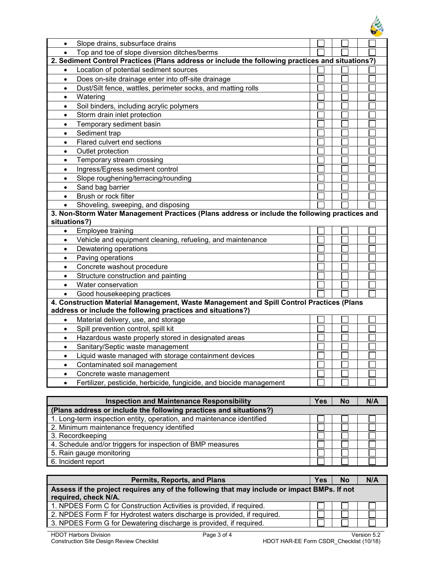| $\bullet$    | Slope drains, subsurface drains                                                                                                                         |            |  |           |     |
|--------------|---------------------------------------------------------------------------------------------------------------------------------------------------------|------------|--|-----------|-----|
| $\bullet$    | Top and toe of slope diversion ditches/berms                                                                                                            |            |  |           |     |
|              | 2. Sediment Control Practices (Plans address or include the following practices and situations?)                                                        |            |  |           |     |
| $\bullet$    | Location of potential sediment sources                                                                                                                  |            |  |           |     |
| $\bullet$    | Does on-site drainage enter into off-site drainage                                                                                                      |            |  |           |     |
| $\bullet$    | Dust/Silt fence, wattles, perimeter socks, and matting rolls                                                                                            |            |  |           |     |
| $\bullet$    | Watering                                                                                                                                                |            |  |           |     |
| $\bullet$    | Soil binders, including acrylic polymers                                                                                                                |            |  |           |     |
| $\bullet$    | Storm drain inlet protection                                                                                                                            |            |  |           |     |
| $\bullet$    | Temporary sediment basin                                                                                                                                |            |  |           |     |
| $\bullet$    | Sediment trap                                                                                                                                           |            |  |           |     |
| $\bullet$    | Flared culvert end sections                                                                                                                             |            |  |           |     |
| ٠            | Outlet protection                                                                                                                                       |            |  |           |     |
| $\bullet$    | Temporary stream crossing                                                                                                                               |            |  |           |     |
| ٠            | Ingress/Egress sediment control                                                                                                                         |            |  |           |     |
| $\bullet$    | Slope roughening/terracing/rounding                                                                                                                     |            |  |           |     |
| $\bullet$    | Sand bag barrier                                                                                                                                        |            |  |           |     |
| $\bullet$    | Brush or rock filter                                                                                                                                    |            |  |           |     |
| $\bullet$    | Shoveling, sweeping, and disposing                                                                                                                      |            |  |           |     |
| situations?) | 3. Non-Storm Water Management Practices (Plans address or include the following practices and                                                           |            |  |           |     |
| $\bullet$    | Employee training                                                                                                                                       |            |  |           |     |
| $\bullet$    | Vehicle and equipment cleaning, refueling, and maintenance                                                                                              |            |  |           |     |
| $\bullet$    | Dewatering operations                                                                                                                                   |            |  |           |     |
| $\bullet$    | Paving operations                                                                                                                                       |            |  |           |     |
| $\bullet$    | Concrete washout procedure                                                                                                                              |            |  |           |     |
| $\bullet$    | Structure construction and painting                                                                                                                     |            |  |           |     |
| $\bullet$    | Water conservation                                                                                                                                      |            |  |           |     |
| $\bullet$    | Good housekeeping practices                                                                                                                             |            |  |           |     |
|              | 4. Construction Material Management, Waste Management and Spill Control Practices (Plans<br>address or include the following practices and situations?) |            |  |           |     |
| $\bullet$    | Material delivery, use, and storage                                                                                                                     |            |  |           |     |
| $\bullet$    | Spill prevention control, spill kit                                                                                                                     |            |  |           |     |
| ٠            | Hazardous waste properly stored in designated areas                                                                                                     |            |  |           |     |
|              | Sanitary/Septic waste management                                                                                                                        |            |  |           |     |
| ٠            | Liquid waste managed with storage containment devices                                                                                                   |            |  |           |     |
| $\bullet$    | Contaminated soil management                                                                                                                            |            |  |           |     |
| $\bullet$    | Concrete waste management                                                                                                                               |            |  |           |     |
| $\bullet$    | Fertilizer, pesticide, herbicide, fungicide, and biocide management                                                                                     |            |  |           |     |
|              |                                                                                                                                                         |            |  |           |     |
|              | <b>Inspection and Maintenance Responsibility</b>                                                                                                        | <b>Yes</b> |  | <b>No</b> | N/A |
|              | (Plans address or include the following practices and situations?)                                                                                      |            |  |           |     |
|              | 1. Long-term inspection entity, operation, and maintenance identified                                                                                   |            |  |           |     |
|              | 2. Minimum maintenance frequency identified                                                                                                             |            |  |           |     |
|              | 3. Recordkeeping                                                                                                                                        |            |  |           |     |
|              | 4. Schedule and/or triggers for inspection of BMP measures                                                                                              |            |  |           |     |

| <b>Permits, Reports, and Plans</b>                                                          |  | <b>No</b> | N/A |  |
|---------------------------------------------------------------------------------------------|--|-----------|-----|--|
| Assess if the project requires any of the following that may include or impact BMPs. If not |  |           |     |  |
| required, check N/A.                                                                        |  |           |     |  |
| 1. NPDES Form C for Construction Activities is provided, if required.                       |  |           |     |  |
| 2. NPDES Form F for Hydrotest waters discharge is provided, if required.                    |  |           |     |  |
| 3. NPDES Form G for Dewatering discharge is provided, if required.                          |  |           |     |  |

5. Rain gauge monitoring

6. Incident report